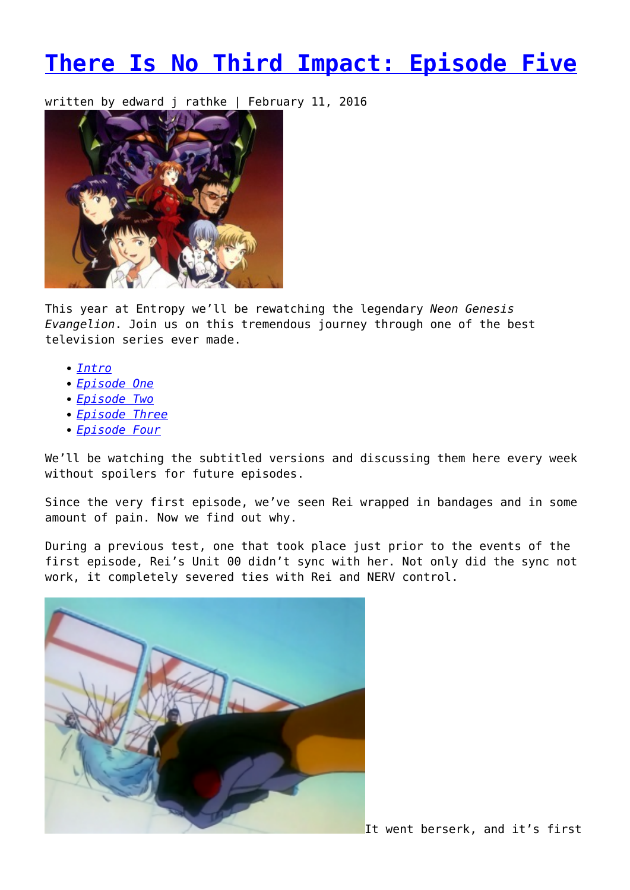## **[There Is No Third Impact: Episode Five](https://entropymag.org/there-is-no-third-impact-episode-five/)**

written by edward j rathke | February 11, 2016



This year at Entropy we'll be rewatching the legendary *Neon Genesis Evangelion*. Join us on this tremendous journey through one of the best television series ever made.

- *[Intro](https://entropymag.org/there-is-no-third-impact-revisiting-evangelion/)*
- *[Episode One](https://entropymag.org/there-is-no-third-impact-episode-one/)*
- *[Episode Two](https://entropymag.org/there-is-no-third-impact-episode-two/)*
- *[Episode Three](https://entropymag.org/there-is-no-third-impact-episode-three/)*
- *[Episode Four](https://entropymag.org/there-is-no-third-impact-episode-four/)*

We'll be watching the subtitled versions and discussing them here every week without spoilers for future episodes.

Since the very first episode, we've seen Rei wrapped in bandages and in some amount of pain. Now we find out why.

During a previous test, one that took place just prior to the events of the first episode, Rei's Unit 00 didn't sync with her. Not only did the sync not work, it completely severed ties with Rei and NERV control.



It went berserk, and it's first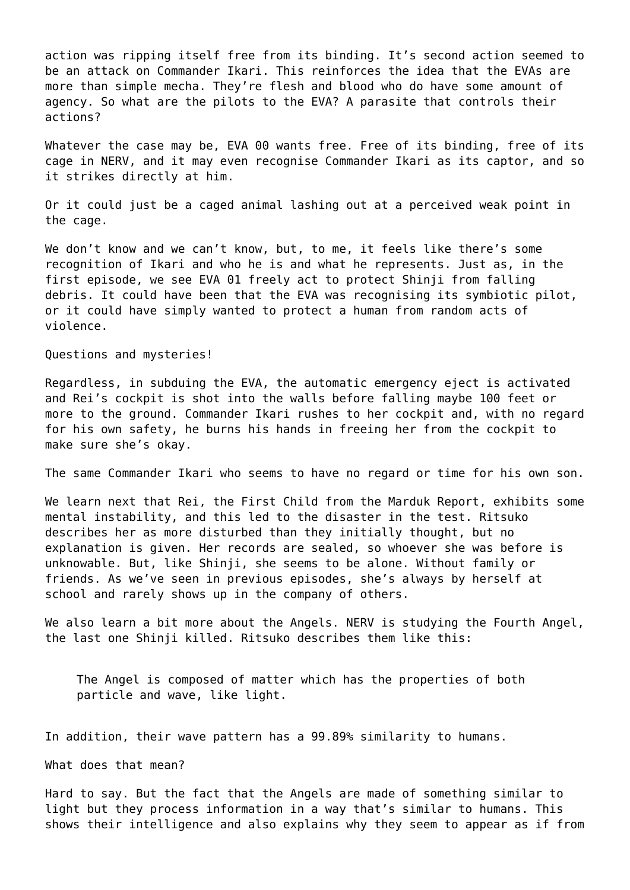action was ripping itself free from its binding. It's second action seemed to be an attack on Commander Ikari. This reinforces the idea that the EVAs are more than simple mecha. They're flesh and blood who do have some amount of agency. So what are the pilots to the EVA? A parasite that controls their actions?

Whatever the case may be, EVA 00 wants free. Free of its binding, free of its cage in NERV, and it may even recognise Commander Ikari as its captor, and so it strikes directly at him.

Or it could just be a caged animal lashing out at a perceived weak point in the cage.

We don't know and we can't know, but, to me, it feels like there's some recognition of Ikari and who he is and what he represents. Just as, in the first episode, we see EVA 01 freely act to protect Shinji from falling debris. It could have been that the EVA was recognising its symbiotic pilot, or it could have simply wanted to protect a human from random acts of violence.

Questions and mysteries!

Regardless, in subduing the EVA, the automatic emergency eject is activated and Rei's cockpit is shot into the walls before falling maybe 100 feet or more to the ground. Commander Ikari rushes to her cockpit and, with no regard for his own safety, he burns his hands in freeing her from the cockpit to make sure she's okay.

The same Commander Ikari who seems to have no regard or time for his own son.

We learn next that Rei, the First Child from the Marduk Report, exhibits some mental instability, and this led to the disaster in the test. Ritsuko describes her as more disturbed than they initially thought, but no explanation is given. Her records are sealed, so whoever she was before is unknowable. But, like Shinji, she seems to be alone. Without family or friends. As we've seen in previous episodes, she's always by herself at school and rarely shows up in the company of others.

We also learn a bit more about the Angels. NERV is studying the Fourth Angel, the last one Shinji killed. Ritsuko describes them like this:

The Angel is composed of matter which has the properties of both particle and wave, like light.

In addition, their wave pattern has a 99.89% similarity to humans.

What does that mean?

Hard to say. But the fact that the Angels are made of something similar to light but they process information in a way that's similar to humans. This shows their intelligence and also explains why they seem to appear as if from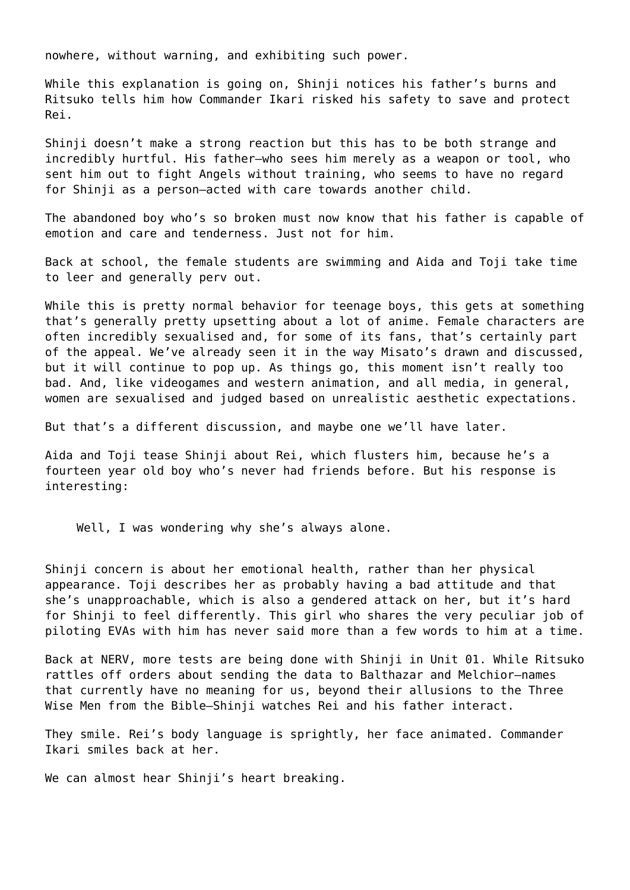nowhere, without warning, and exhibiting such power.

While this explanation is going on, Shinji notices his father's burns and Ritsuko tells him how Commander Ikari risked his safety to save and protect Rei.

Shinji doesn't make a strong reaction but this has to be both strange and incredibly hurtful. His father–who sees him merely as a weapon or tool, who sent him out to fight Angels without training, who seems to have no regard for Shinji as a person–acted with care towards another child.

The abandoned boy who's so broken must now know that his father is capable of emotion and care and tenderness. Just not for him.

Back at school, the female students are swimming and Aida and Toji take time to leer and generally perv out.

While this is pretty normal behavior for teenage boys, this gets at something that's generally pretty upsetting about a lot of anime. Female characters are often incredibly sexualised and, for some of its fans, that's certainly part of the appeal. We've already seen it in the way Misato's drawn and discussed, but it will continue to pop up. As things go, this moment isn't really too bad. And, like videogames and western animation, and all media, in general, women are sexualised and judged based on unrealistic aesthetic expectations.

But that's a different discussion, and maybe one we'll have later.

Aida and Toji tease Shinji about Rei, which flusters him, because he's a fourteen year old boy who's never had friends before. But his response is interesting:

Well, I was wondering why she's always alone.

Shinji concern is about her emotional health, rather than her physical appearance. Toji describes her as probably having a bad attitude and that she's unapproachable, which is also a gendered attack on her, but it's hard for Shinji to feel differently. This girl who shares the very peculiar job of piloting EVAs with him has never said more than a few words to him at a time.

Back at NERV, more tests are being done with Shinji in Unit 01. While Ritsuko rattles off orders about sending the data to Balthazar and Melchior–names that currently have no meaning for us, beyond their allusions to the Three Wise Men from the Bible–Shinji watches Rei and his father interact.

They smile. Rei's body language is sprightly, her face animated. Commander Ikari smiles back at her.

We can almost hear Shinji's heart breaking.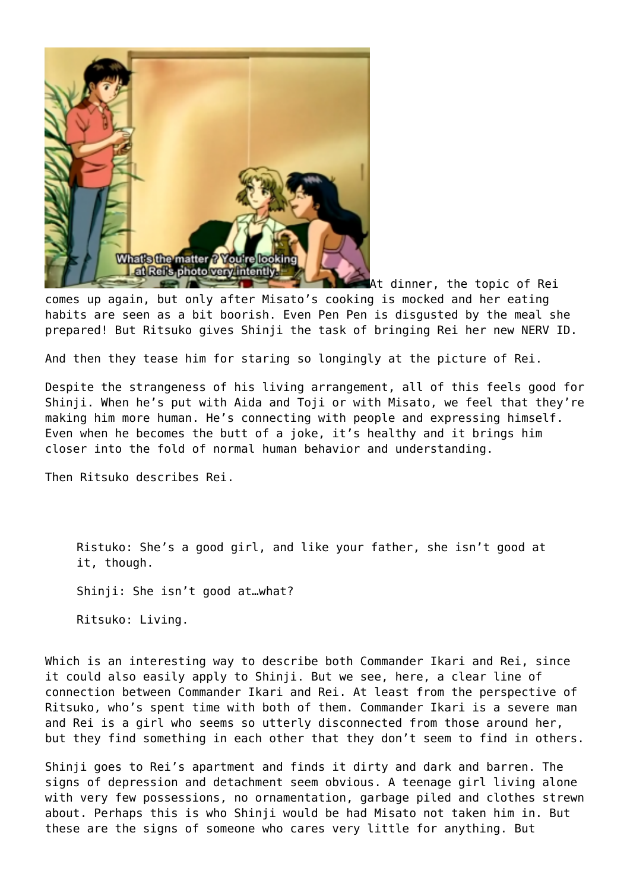

At dinner, the topic of Rei comes up again, but only after Misato's cooking is mocked and her eating habits are seen as a bit boorish. Even Pen Pen is disgusted by the meal she prepared! But Ritsuko gives Shinji the task of bringing Rei her new NERV ID.

And then they tease him for staring so longingly at the picture of Rei.

Despite the strangeness of his living arrangement, all of this feels good for Shinii. When he's put with Aida and Toji or with Misato, we feel that they're making him more human. He's connecting with people and expressing himself. Even when he becomes the butt of a joke, it's healthy and it brings him closer into the fold of normal human behavior and understanding.

Then Ritsuko describes Rei.

Ristuko: She's a good girl, and like your father, she isn't good at it, though. Shinji: She isn't good at…what? Ritsuko: Living.

Which is an interesting way to describe both Commander Ikari and Rei, since it could also easily apply to Shinji. But we see, here, a clear line of connection between Commander Ikari and Rei. At least from the perspective of Ritsuko, who's spent time with both of them. Commander Ikari is a severe man and Rei is a girl who seems so utterly disconnected from those around her, but they find something in each other that they don't seem to find in others.

Shinji goes to Rei's apartment and finds it dirty and dark and barren. The signs of depression and detachment seem obvious. A teenage girl living alone with very few possessions, no ornamentation, garbage piled and clothes strewn about. Perhaps this is who Shinji would be had Misato not taken him in. But these are the signs of someone who cares very little for anything. But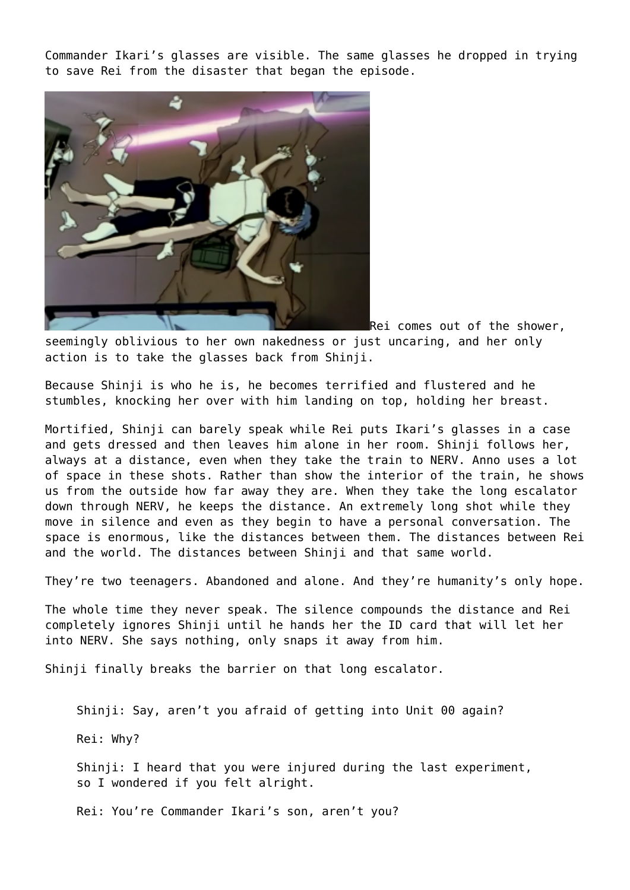Commander Ikari's glasses are visible. The same glasses he dropped in trying to save Rei from the disaster that began the episode.



Rei comes out of the shower, seemingly oblivious to her own nakedness or just uncaring, and her only action is to take the glasses back from Shinji.

Because Shinji is who he is, he becomes terrified and flustered and he stumbles, knocking her over with him landing on top, holding her breast.

Mortified, Shinji can barely speak while Rei puts Ikari's glasses in a case and gets dressed and then leaves him alone in her room. Shinji follows her, always at a distance, even when they take the train to NERV. Anno uses a lot of space in these shots. Rather than show the interior of the train, he shows us from the outside how far away they are. When they take the long escalator down through NERV, he keeps the distance. An extremely long shot while they move in silence and even as they begin to have a personal conversation. The space is enormous, like the distances between them. The distances between Rei and the world. The distances between Shinji and that same world.

They're two teenagers. Abandoned and alone. And they're humanity's only hope.

The whole time they never speak. The silence compounds the distance and Rei completely ignores Shinji until he hands her the ID card that will let her into NERV. She says nothing, only snaps it away from him.

Shinji finally breaks the barrier on that long escalator.

Shinji: Say, aren't you afraid of getting into Unit 00 again?

Rei: Why?

Shinji: I heard that you were injured during the last experiment, so I wondered if you felt alright.

Rei: You're Commander Ikari's son, aren't you?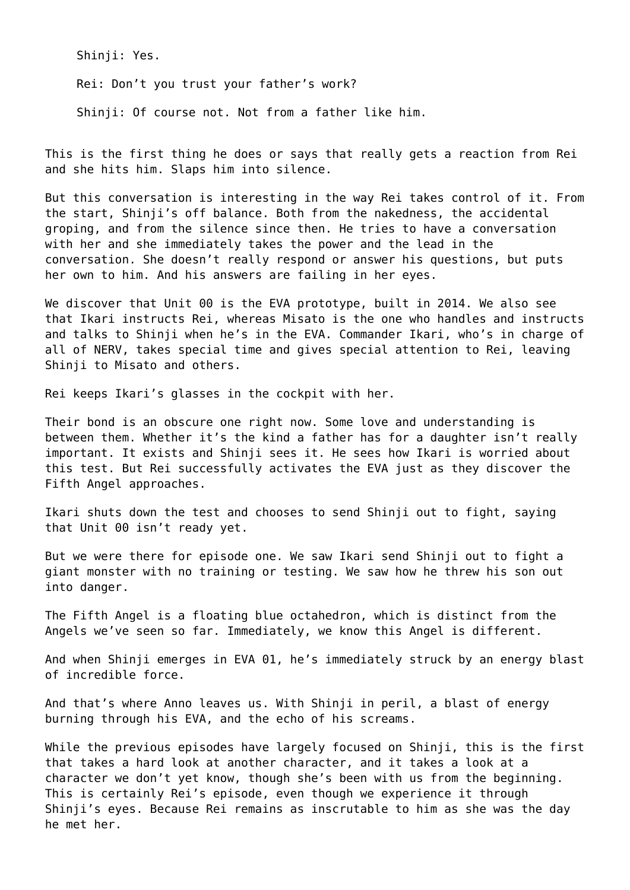Shinii: Yes.

Rei: Don't you trust your father's work?

Shinji: Of course not. Not from a father like him.

This is the first thing he does or says that really gets a reaction from Rei and she hits him. Slaps him into silence.

But this conversation is interesting in the way Rei takes control of it. From the start, Shinji's off balance. Both from the nakedness, the accidental groping, and from the silence since then. He tries to have a conversation with her and she immediately takes the power and the lead in the conversation. She doesn't really respond or answer his questions, but puts her own to him. And his answers are failing in her eyes.

We discover that Unit 00 is the EVA prototype, built in 2014. We also see that Ikari instructs Rei, whereas Misato is the one who handles and instructs and talks to Shinji when he's in the EVA. Commander Ikari, who's in charge of all of NERV, takes special time and gives special attention to Rei, leaving Shinii to Misato and others.

Rei keeps Ikari's glasses in the cockpit with her.

Their bond is an obscure one right now. Some love and understanding is between them. Whether it's the kind a father has for a daughter isn't really important. It exists and Shinji sees it. He sees how Ikari is worried about this test. But Rei successfully activates the EVA just as they discover the Fifth Angel approaches.

Ikari shuts down the test and chooses to send Shinji out to fight, saying that Unit 00 isn't ready yet.

But we were there for episode one. We saw Ikari send Shinji out to fight a giant monster with no training or testing. We saw how he threw his son out into danger.

The Fifth Angel is a floating blue octahedron, which is distinct from the Angels we've seen so far. Immediately, we know this Angel is different.

And when Shinji emerges in EVA 01, he's immediately struck by an energy blast of incredible force.

And that's where Anno leaves us. With Shinji in peril, a blast of energy burning through his EVA, and the echo of his screams.

While the previous episodes have largely focused on Shinji, this is the first that takes a hard look at another character, and it takes a look at a character we don't yet know, though she's been with us from the beginning. This is certainly Rei's episode, even though we experience it through Shinji's eyes. Because Rei remains as inscrutable to him as she was the day he met her.